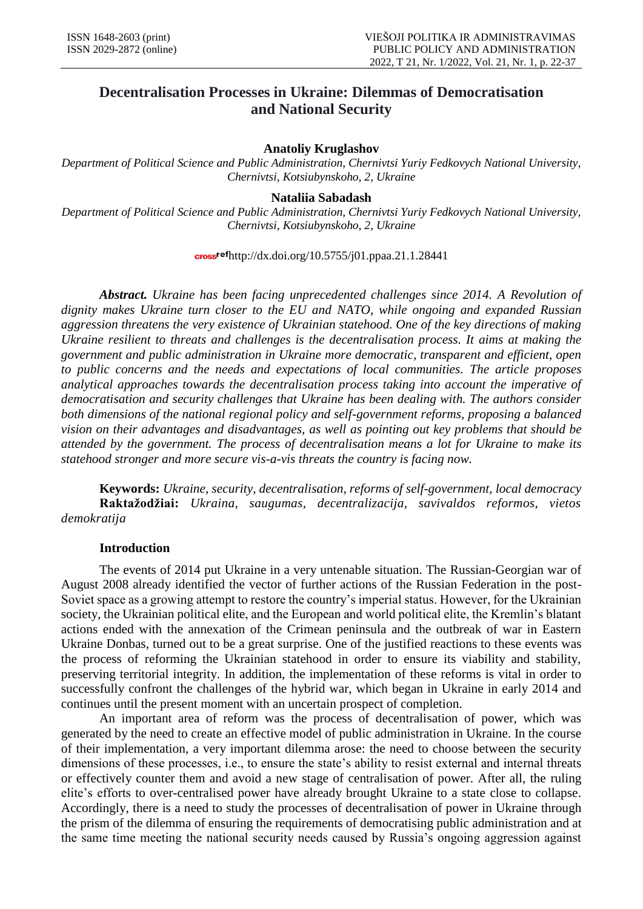# **Decentralisation Processes in Ukraine: Dilemmas of Democratisation and National Security**

# **Anatoliy Kruglashov**

*Department of Political Science and Public Administration, Chernivtsi Yuriy Fedkovych National University, Chernivtsi, Kotsiubynskoho, 2, Ukraine*

#### **Nataliia Sabadash**

*Department of Political Science and Public Administration, Chernivtsi Yuriy Fedkovych National University, Chernivtsi, Kotsiubynskoho, 2, Ukraine*

 $\frac{\text{cross}^\text{ref}}{\text{http://dx.doi.org/10.5755/j01.ppaa.21.1.28441}}$ 

*Abstract. Ukraine has been facing unprecedented challenges since 2014. A Revolution of dignity makes Ukraine turn closer to the EU and NATO, while ongoing and expanded Russian aggression threatens the very existence of Ukrainian statehood. One of the key directions of making Ukraine resilient to threats and challenges is the decentralisation process. It aims at making the government and public administration in Ukraine more democratic, transparent and efficient, open to public concerns and the needs and expectations of local communities. The article proposes analytical approaches towards the decentralisation process taking into account the imperative of democratisation and security challenges that Ukraine has been dealing with. The authors consider both dimensions of the national regional policy and self-government reforms, proposing a balanced vision on their advantages and disadvantages, as well as pointing out key problems that should be attended by the government. The process of decentralisation means a lot for Ukraine to make its statehood stronger and more secure vis-a-vis threats the country is facing now.*

**Keywords:** *Ukraine, security, decentralisation, reforms of self-government, local democracy* **Raktažodžiai:** *Ukraina, saugumas, decentralizacija, savivaldos reformos, vietos demokratija*

#### **Introduction**

The events of 2014 put Ukraine in a very untenable situation. The Russian-Georgian war of August 2008 already identified the vector of further actions of the Russian Federation in the post-Soviet space as a growing attempt to restore the country's imperial status. However, for the Ukrainian society, the Ukrainian political elite, and the European and world political elite, the Kremlin's blatant actions ended with the annexation of the Crimean peninsula and the outbreak of war in Eastern Ukraine Donbas, turned out to be a great surprise. One of the justified reactions to these events was the process of reforming the Ukrainian statehood in order to ensure its viability and stability, preserving territorial integrity. In addition, the implementation of these reforms is vital in order to successfully confront the challenges of the hybrid war, which began in Ukraine in early 2014 and continues until the present moment with an uncertain prospect of completion.

An important area of reform was the process of decentralisation of power, which was generated by the need to create an effective model of public administration in Ukraine. In the course of their implementation, a very important dilemma arose: the need to choose between the security dimensions of these processes, i.e., to ensure the state's ability to resist external and internal threats or effectively counter them and avoid a new stage of centralisation of power. After all, the ruling elite's efforts to over-centralised power have already brought Ukraine to a state close to collapse. Accordingly, there is a need to study the processes of decentralisation of power in Ukraine through the prism of the dilemma of ensuring the requirements of democratising public administration and at the same time meeting the national security needs caused by Russia's ongoing aggression against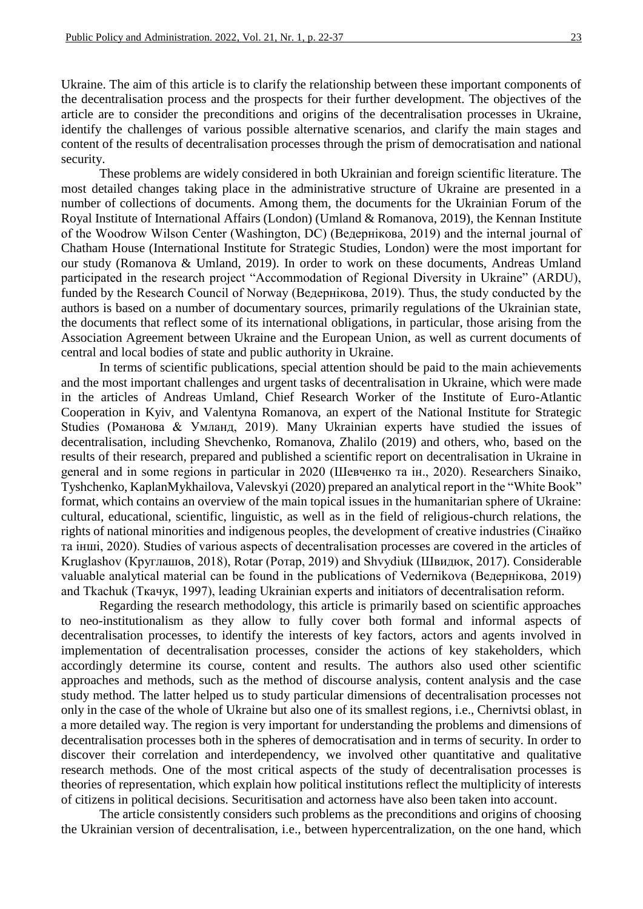Ukraine. The aim of this article is to clarify the relationship between these important components of the decentralisation process and the prospects for their further development. The objectives of the article are to consider the preconditions and origins of the decentralisation processes in Ukraine, identify the challenges of various possible alternative scenarios, and clarify the main stages and content of the results of decentralisation processes through the prism of democratisation and national security.

These problems are widely considered in both Ukrainian and foreign scientific literature. The most detailed changes taking place in the administrative structure of Ukraine are presented in a number of collections of documents. Among them, the documents for the Ukrainian Forum of the Royal Institute of International Affairs (London) (Umland & Romanova, 2019), the Kennan Institute of the Woodrow Wilson Center (Washington, DC) (Ведернікова, 2019) and the internal journal of Chatham House (International Institute for Strategic Studies, London) were the most important for our study (Romanova & Umland, 2019). In order to work on these documents, Andreas Umland participated in the research project "Accommodation of Regional Diversity in Ukraine" (ARDU), funded by the Research Council of Norway (Ведернікова, 2019). Thus, the study conducted by the authors is based on a number of documentary sources, primarily regulations of the Ukrainian state, the documents that reflect some of its international obligations, in particular, those arising from the Association Agreement between Ukraine and the European Union, as well as current documents of central and local bodies of state and public authority in Ukraine.

In terms of scientific publications, special attention should be paid to the main achievements and the most important challenges and urgent tasks of decentralisation in Ukraine, which were made in the articles of Andreas Umland, Chief Research Worker of the Institute of Euro-Atlantic Cooperation in Kyiv, and Valentyna Romanova, an expert of the National Institute for Strategic Studies (Романова & Умланд, 2019). Many Ukrainian experts have studied the issues of decentralisation, including Shevchenko, Romanova, Zhalilo (2019) and others, who, based on the results of their research, prepared and published a scientific report on decentralisation in Ukraine in general and in some regions in particular in 2020 (Шевченко та ін., 2020). Researchers Sinaiko, Tyshchenko, KaplanMykhailova, Valevskyi (2020) prepared an analytical report in the "White Book" format, which contains an overview of the main topical issues in the humanitarian sphere of Ukraine: cultural, educational, scientific, linguistic, as well as in the field of religious-church relations, the rights of national minorities and indigenous peoples, the development of creative industries (Сінайко та інші, 2020). Studies of various aspects of decentralisation processes are covered in the articles of Kruglashov (Круглашов, 2018), Rotar (Ротар, 2019) and Shvydiuk (Швидюк, 2017). Considerable valuable analytical material can be found in the publications of Vedernikova (Ведернікова, 2019) and Tkachuk (Ткачук, 1997), leading Ukrainian experts and initiators of decentralisation reform.

Regarding the research methodology, this article is primarily based on scientific approaches to neo-institutionalism as they allow to fully cover both formal and informal aspects of decentralisation processes, to identify the interests of key factors, actors and agents involved in implementation of decentralisation processes, consider the actions of key stakeholders, which accordingly determine its course, content and results. The authors also used other scientific approaches and methods, such as the method of discourse analysis, content analysis and the case study method. The latter helped us to study particular dimensions of decentralisation processes not only in the case of the whole of Ukraine but also one of its smallest regions, i.e., Chernivtsi oblast, in a more detailed way. The region is very important for understanding the problems and dimensions of decentralisation processes both in the spheres of democratisation and in terms of security. In order to discover their correlation and interdependency, we involved other quantitative and qualitative research methods. One of the most critical aspects of the study of decentralisation processes is theories of representation, which explain how political institutions reflect the multiplicity of interests of citizens in political decisions. Securitisation and actorness have also been taken into account.

The article consistently considers such problems as the preconditions and origins of choosing the Ukrainian version of decentralisation, i.e., between hypercentralization, on the one hand, which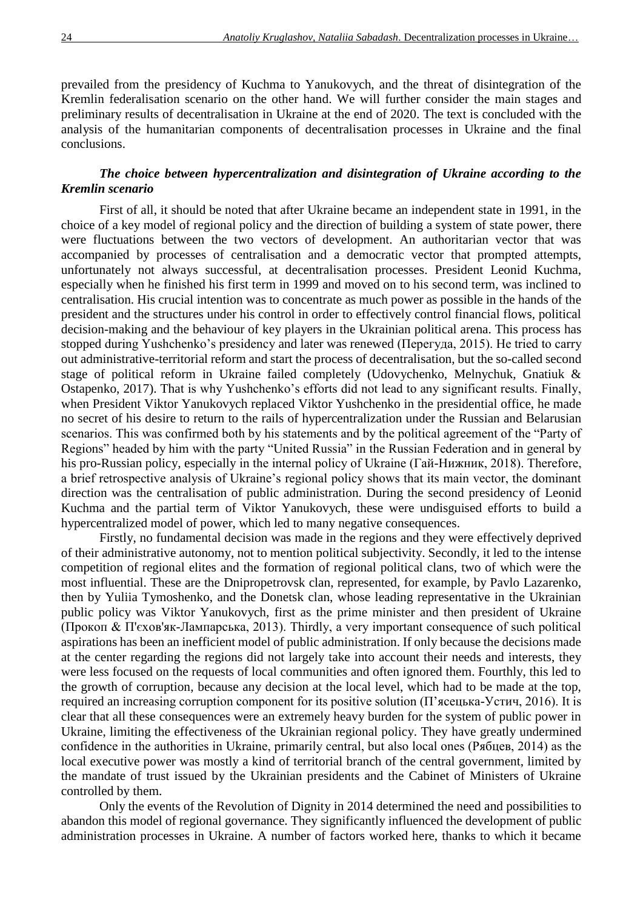prevailed from the presidency of Kuchma to Yanukovych, and the threat of disintegration of the Kremlin federalisation scenario on the other hand. We will further consider the main stages and preliminary results of decentralisation in Ukraine at the end of 2020. The text is concluded with the analysis of the humanitarian components of decentralisation processes in Ukraine and the final conclusions.

# *The choice between hypercentralization and disintegration of Ukraine according to the Kremlin scenario*

First of all, it should be noted that after Ukraine became an independent state in 1991, in the choice of a key model of regional policy and the direction of building a system of state power, there were fluctuations between the two vectors of development. An authoritarian vector that was accompanied by processes of centralisation and a democratic vector that prompted attempts, unfortunately not always successful, at decentralisation processes. President Leonid Kuchma, especially when he finished his first term in 1999 and moved on to his second term, was inclined to centralisation. His crucial intention was to concentrate as much power as possible in the hands of the president and the structures under his control in order to effectively control financial flows, political decision-making and the behaviour of key players in the Ukrainian political arena. This process has stopped during Yushchenko's presidency and later was renewed (Перегуда, 2015). He tried to carry out administrative-territorial reform and start the process of decentralisation, but the so-called second stage of political reform in Ukraine failed completely (Udovychenko, Melnychuk, Gnatiuk & Ostapenko, 2017). That is why Yushchenko's efforts did not lead to any significant results. Finally, when President Viktor Yanukovych replaced Viktor Yushchenko in the presidential office, he made no secret of his desire to return to the rails of hypercentralization under the Russian and Belarusian scenarios. This was confirmed both by his statements and by the political agreement of the "Party of Regions" headed by him with the party "United Russia" in the Russian Federation and in general by his pro-Russian policy, especially in the internal policy of Ukraine (Гай-Нижник, 2018). Therefore, a brief retrospective analysis of Ukraine's regional policy shows that its main vector, the dominant direction was the centralisation of public administration. During the second presidency of Leonid Kuchma and the partial term of Viktor Yanukovych, these were undisguised efforts to build a hypercentralized model of power, which led to many negative consequences.

Firstly, no fundamental decision was made in the regions and they were effectively deprived of their administrative autonomy, not to mention political subjectivity. Secondly, it led to the intense competition of regional elites and the formation of regional political clans, two of which were the most influential. These are the Dnipropetrovsk clan, represented, for example, by Pavlo Lazarenko, then by Yuliia Tymoshenko, and the Donetsk clan, whose leading representative in the Ukrainian public policy was Viktor Yanukovych, first as the prime minister and then president of Ukraine (Прокоп & П'єхов'як-Лампарська, 2013). Thirdly, a very important consequence of such political aspirations has been an inefficient model of public administration. If only because the decisions made at the center regarding the regions did not largely take into account their needs and interests, they were less focused on the requests of local communities and often ignored them. Fourthly, this led to the growth of corruption, because any decision at the local level, which had to be made at the top, required an increasing corruption component for its positive solution ( $\Pi$ 'ясецька-Устич, 2016). It is clear that all these consequences were an extremely heavy burden for the system of public power in Ukraine, limiting the effectiveness of the Ukrainian regional policy. They have greatly undermined confidence in the authorities in Ukraine, primarily central, but also local ones (Рябцев, 2014) as the local executive power was mostly a kind of territorial branch of the central government, limited by the mandate of trust issued by the Ukrainian presidents and the Cabinet of Ministers of Ukraine controlled by them.

Only the events of the Revolution of Dignity in 2014 determined the need and possibilities to abandon this model of regional governance. They significantly influenced the development of public administration processes in Ukraine. A number of factors worked here, thanks to which it became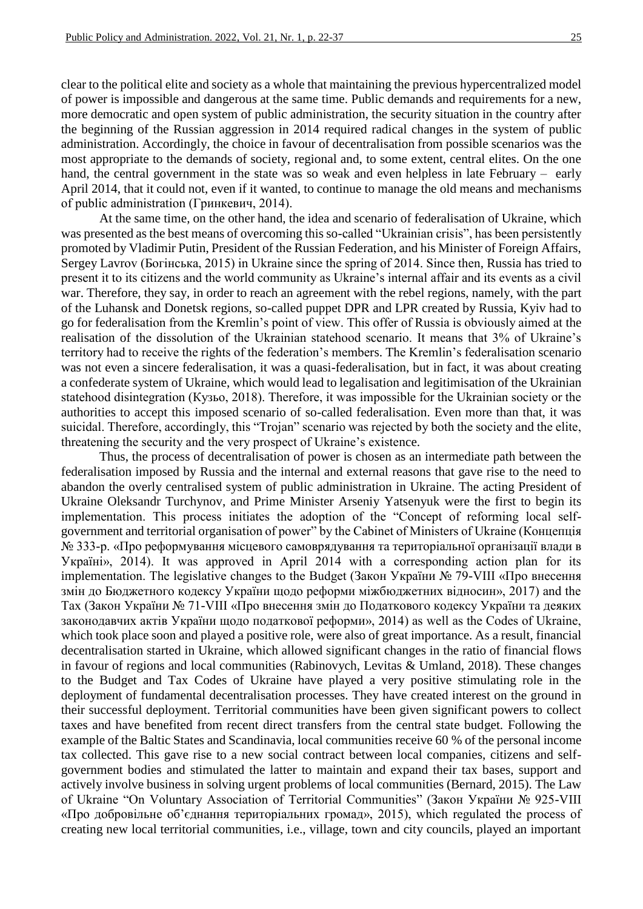clear to the political elite and society as a whole that maintaining the previous hypercentralized model of power is impossible and dangerous at the same time. Public demands and requirements for a new, more democratic and open system of public administration, the security situation in the country after the beginning of the Russian aggression in 2014 required radical changes in the system of public administration. Accordingly, the choice in favour of decentralisation from possible scenarios was the most appropriate to the demands of society, regional and, to some extent, central elites. On the one hand, the central government in the state was so weak and even helpless in late February – early April 2014, that it could not, even if it wanted, to continue to manage the old means and mechanisms of public administration (Гринкевич, 2014).

At the same time, on the other hand, the idea and scenario of federalisation of Ukraine, which was presented as the best means of overcoming this so-called "Ukrainian crisis", has been persistently promoted by Vladimir Putin, President of the Russian Federation, and his Minister of Foreign Affairs, Sergey Lavrov (Богінська, 2015) in Ukraine since the spring of 2014. Since then, Russia has tried to present it to its citizens and the world community as Ukraine's internal affair and its events as a civil war. Therefore, they say, in order to reach an agreement with the rebel regions, namely, with the part of the Luhansk and Donetsk regions, so-called puppet DPR and LPR created by Russia, Kyiv had to go for federalisation from the Kremlin's point of view. This offer of Russia is obviously aimed at the realisation of the dissolution of the Ukrainian statehood scenario. It means that 3% of Ukraine's territory had to receive the rights of the federation's members. The Kremlin's federalisation scenario was not even a sincere federalisation, it was a quasi-federalisation, but in fact, it was about creating a confederate system of Ukraine, which would lead to legalisation and legitimisation of the Ukrainian statehood disintegration (Кузьо, 2018). Therefore, it was impossible for the Ukrainian society or the authorities to accept this imposed scenario of so-called federalisation. Even more than that, it was suicidal. Therefore, accordingly, this "Trojan" scenario was rejected by both the society and the elite, threatening the security and the very prospect of Ukraine's existence.

Thus, the process of decentralisation of power is chosen as an intermediate path between the federalisation imposed by Russia and the internal and external reasons that gave rise to the need to abandon the overly centralised system of public administration in Ukraine. The acting President of Ukraine Oleksandr Turchynov, and Prime Minister Arseniy Yatsenyuk were the first to begin its implementation. This process initiates the adoption of the "Concept of reforming local selfgovernment and territorial organisation of power" by the Cabinet of Ministers of Ukraine (Концепція № 333-р. «Про реформування місцевого самоврядування та територіальної організації влади в Україні», 2014). It was approved in April 2014 with a corresponding action plan for its implementation. The legislative changes to the Budget (Закон України № 79-VІІІ «Про внесення змін до Бюджетного кодексу України щодо реформи міжбюджетних відносин», 2017) and the Tax (Закон України № 71-VІІІ «Про внесення змін до Податкового кодексу України та деяких законодавчих актів України щодо податкової реформи», 2014) as well as the Codes of Ukraine, which took place soon and played a positive role, were also of great importance. As a result, financial decentralisation started in Ukraine, which allowed significant changes in the ratio of financial flows in favour of regions and local communities (Rabinovych, Levitas & Umland, 2018). These changes to the Budget and Tax Codes of Ukraine have played a very positive stimulating role in the deployment of fundamental decentralisation processes. They have created interest on the ground in their successful deployment. Territorial communities have been given significant powers to collect taxes and have benefited from recent direct transfers from the central state budget. Following the example of the Baltic States and Scandinavia, local communities receive 60 % of the personal income tax collected. This gave rise to a new social contract between local companies, citizens and selfgovernment bodies and stimulated the latter to maintain and expand their tax bases, support and actively involve business in solving urgent problems of local communities (Bernard, 2015). The Law of Ukraine "On Voluntary Association of Territorial Communities" (Закон України № 925-VIII «Про добровільне об'єднання територіальних громад», 2015), which regulated the process of creating new local territorial communities, i.e., village, town and city councils, played an important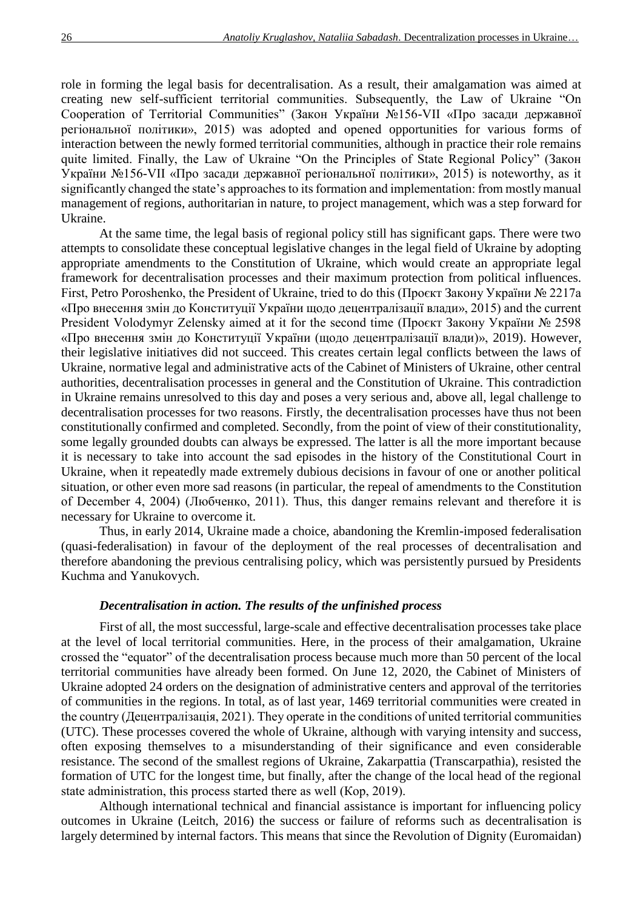role in forming the legal basis for decentralisation. As a result, their amalgamation was aimed at creating new self-sufficient territorial communities. Subsequently, the Law of Ukraine "On Cooperation of Territorial Communities" (Закон України №156-VII «Про засади державної регіональної політики», 2015) was adopted and opened opportunities for various forms of interaction between the newly formed territorial communities, although in practice their role remains quite limited. Finally, the Law of Ukraine "On the Principles of State Regional Policy" (Закон України №156-VII «Про засади державної регіональної політики», 2015) is noteworthy, as it significantly changed the state's approaches to its formation and implementation: from mostly manual management of regions, authoritarian in nature, to project management, which was a step forward for Ukraine.

At the same time, the legal basis of regional policy still has significant gaps. There were two attempts to consolidate these conceptual legislative changes in the legal field of Ukraine by adopting appropriate amendments to the Constitution of Ukraine, which would create an appropriate legal framework for decentralisation processes and their maximum protection from political influences. First, Petro Poroshenko, the President of Ukraine, tried to do this (Проєкт Закону України № 2217а «Про внесення змін до Конституції України щодо децентралізації влади», 2015) and the current President Volodymyr Zelensky aimed at it for the second time (Проєкт Закону України № 2598 «Про внесення змін до Конституції України (щодо децентралізації влади)», 2019). However, their legislative initiatives did not succeed. This creates certain legal conflicts between the laws of Ukraine, normative legal and administrative acts of the Cabinet of Ministers of Ukraine, other central authorities, decentralisation processes in general and the Constitution of Ukraine. This contradiction in Ukraine remains unresolved to this day and poses a very serious and, above all, legal challenge to decentralisation processes for two reasons. Firstly, the decentralisation processes have thus not been constitutionally confirmed and completed. Secondly, from the point of view of their constitutionality, some legally grounded doubts can always be expressed. The latter is all the more important because it is necessary to take into account the sad episodes in the history of the Constitutional Court in Ukraine, when it repeatedly made extremely dubious decisions in favour of one or another political situation, or other even more sad reasons (in particular, the repeal of amendments to the Constitution of December 4, 2004) (Любченко, 2011). Thus, this danger remains relevant and therefore it is necessary for Ukraine to overcome it.

Thus, in early 2014, Ukraine made a choice, abandoning the Kremlin-imposed federalisation (quasi-federalisation) in favour of the deployment of the real processes of decentralisation and therefore abandoning the previous centralising policy, which was persistently pursued by Presidents Kuchma and Yanukovych.

### *Decentralisation in action. The results of the unfinished process*

First of all, the most successful, large-scale and effective decentralisation processes take place at the level of local territorial communities. Here, in the process of their amalgamation, Ukraine crossed the "equator" of the decentralisation process because much more than 50 percent of the local territorial communities have already been formed. On June 12, 2020, the Cabinet of Ministers of Ukraine adopted 24 orders on the designation of administrative centers and approval of the territories of communities in the regions. In total, as of last year, 1469 territorial communities were created in the country (Децентралізація, 2021). They operate in the conditions of united territorial communities (UTC). These processes covered the whole of Ukraine, although with varying intensity and success, often exposing themselves to a misunderstanding of their significance and even considerable resistance. The second of the smallest regions of Ukraine, Zakarpattia (Transcarpathia), resisted the formation of UTC for the longest time, but finally, after the change of the local head of the regional state administration, this process started there as well (Кор, 2019).

Although international technical and financial assistance is important for influencing policy outcomes in Ukraine (Leitch, 2016) the success or failure of reforms such as decentralisation is largely determined by internal factors. This means that since the Revolution of Dignity (Euromaidan)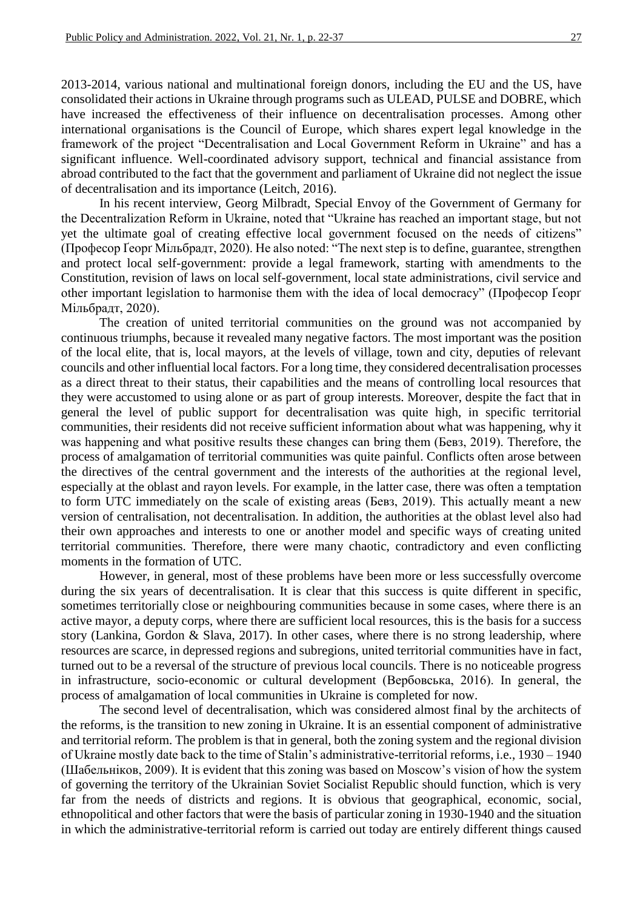2013-2014, various national and multinational foreign donors, including the EU and the US, have consolidated their actions in Ukraine through programs such as ULEAD, PULSE and DOBRE, which have increased the effectiveness of their influence on decentralisation processes. Among other international organisations is the Council of Europe, which shares expert legal knowledge in the framework of the project "Decentralisation and Local Government Reform in Ukraine" and has a significant influence. Well-coordinated advisory support, technical and financial assistance from abroad contributed to the fact that the government and parliament of Ukraine did not neglect the issue of decentralisation and its importance (Leitch, 2016).

In his recent interview, Georg Milbradt, Special Envoy of the Government of Germany for the Decentralization Reform in Ukraine, noted that "Ukraine has reached an important stage, but not yet the ultimate goal of creating effective local government focused on the needs of citizens" (Професор Ґеорґ Мільбрадт, 2020). He also noted: "The next step is to define, guarantee, strengthen and protect local self-government: provide a legal framework, starting with amendments to the Constitution, revision of laws on local self-government, local state administrations, civil service and other important legislation to harmonise them with the idea of local democracy" (Професор Ґеорґ Мільбрадт, 2020).

The creation of united territorial communities on the ground was not accompanied by continuous triumphs, because it revealed many negative factors. The most important was the position of the local elite, that is, local mayors, at the levels of village, town and city, deputies of relevant councils and other influential local factors. For a long time, they considered decentralisation processes as a direct threat to their status, their capabilities and the means of controlling local resources that they were accustomed to using alone or as part of group interests. Moreover, despite the fact that in general the level of public support for decentralisation was quite high, in specific territorial communities, their residents did not receive sufficient information about what was happening, why it was happening and what positive results these changes can bring them (Бевз, 2019). Therefore, the process of amalgamation of territorial communities was quite painful. Conflicts often arose between the directives of the central government and the interests of the authorities at the regional level, especially at the oblast and rayon levels. For example, in the latter case, there was often a temptation to form UTC immediately on the scale of existing areas (Бевз, 2019). This actually meant a new version of centralisation, not decentralisation. In addition, the authorities at the oblast level also had their own approaches and interests to one or another model and specific ways of creating united territorial communities. Therefore, there were many chaotic, contradictory and even conflicting moments in the formation of UTC.

However, in general, most of these problems have been more or less successfully overcome during the six years of decentralisation. It is clear that this success is quite different in specific, sometimes territorially close or neighbouring communities because in some cases, where there is an active mayor, a deputy corps, where there are sufficient local resources, this is the basis for a success story (Lankina, Gordon & Slava, 2017). In other cases, where there is no strong leadership, where resources are scarce, in depressed regions and subregions, united territorial communities have in fact, turned out to be a reversal of the structure of previous local councils. There is no noticeable progress in infrastructure, socio-economic or cultural development (Вербовська, 2016). In general, the process of amalgamation of local communities in Ukraine is completed for now.

The second level of decentralisation, which was considered almost final by the architects of the reforms, is the transition to new zoning in Ukraine. It is an essential component of administrative and territorial reform. The problem is that in general, both the zoning system and the regional division of Ukraine mostly date back to the time of Stalin's administrative-territorial reforms, i.e., 1930 – 1940 (Шабельніков, 2009). It is evident that this zoning was based on Moscow's vision of how the system of governing the territory of the Ukrainian Soviet Socialist Republic should function, which is very far from the needs of districts and regions. It is obvious that geographical, economic, social, ethnopolitical and other factors that were the basis of particular zoning in 1930-1940 and the situation in which the administrative-territorial reform is carried out today are entirely different things caused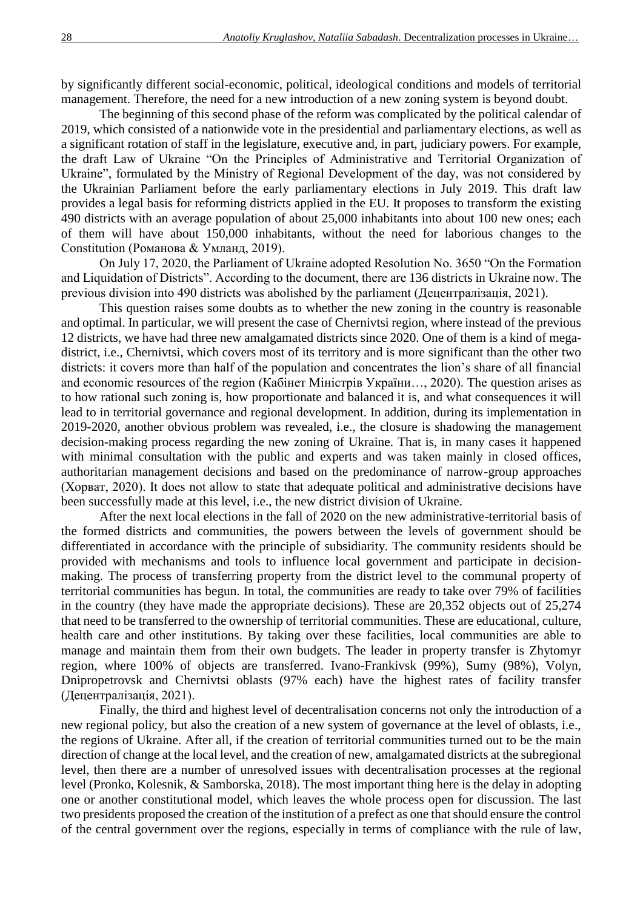by significantly different social-economic, political, ideological conditions and models of territorial management. Therefore, the need for a new introduction of a new zoning system is beyond doubt.

The beginning of this second phase of the reform was complicated by the political calendar of 2019, which consisted of a nationwide vote in the presidential and parliamentary elections, as well as a significant rotation of staff in the legislature, executive and, in part, judiciary powers. For example, the draft Law of Ukraine "On the Principles of Administrative and Territorial Organization of Ukraine", formulated by the Ministry of Regional Development of the day, was not considered by the Ukrainian Parliament before the early parliamentary elections in July 2019. This draft law provides a legal basis for reforming districts applied in the EU. It proposes to transform the existing 490 districts with an average population of about 25,000 inhabitants into about 100 new ones; each of them will have about 150,000 inhabitants, without the need for laborious changes to the Constitution (Романова & Умланд, 2019).

On July 17, 2020, the Parliament of Ukraine adopted Resolution No. 3650 "On the Formation and Liquidation of Districts". According to the document, there are 136 districts in Ukraine now. The previous division into 490 districts was abolished by the parliament (Децентралізація, 2021).

This question raises some doubts as to whether the new zoning in the country is reasonable and optimal. In particular, we will present the case of Chernivtsi region, where instead of the previous 12 districts, we have had three new amalgamated districts since 2020. One of them is a kind of megadistrict, i.e., Chernivtsi, which covers most of its territory and is more significant than the other two districts: it covers more than half of the population and concentrates the lion's share of all financial and economic resources of the region (Кабінет Міністрів України…, 2020). The question arises as to how rational such zoning is, how proportionate and balanced it is, and what consequences it will lead to in territorial governance and regional development. In addition, during its implementation in 2019-2020, another obvious problem was revealed, i.e., the closure is shadowing the management decision-making process regarding the new zoning of Ukraine. That is, in many cases it happened with minimal consultation with the public and experts and was taken mainly in closed offices, authoritarian management decisions and based on the predominance of narrow-group approaches (Хорват, 2020). It does not allow to state that adequate political and administrative decisions have been successfully made at this level, i.e., the new district division of Ukraine.

After the next local elections in the fall of 2020 on the new administrative-territorial basis of the formed districts and communities, the powers between the levels of government should be differentiated in accordance with the principle of subsidiarity. The community residents should be provided with mechanisms and tools to influence local government and participate in decisionmaking. The process of transferring property from the district level to the communal property of territorial communities has begun. In total, the communities are ready to take over 79% of facilities in the country (they have made the appropriate decisions). These are 20,352 objects out of 25,274 that need to be transferred to the ownership of territorial communities. These are educational, culture, health care and other institutions. By taking over these facilities, local communities are able to manage and maintain them from their own budgets. The leader in property transfer is Zhytomyr region, where 100% of objects are transferred. Ivano-Frankivsk (99%), Sumy (98%), Volyn, Dnipropetrovsk and Chernivtsi oblasts (97% each) have the highest rates of facility transfer (Децентралізація, 2021).

Finally, the third and highest level of decentralisation concerns not only the introduction of a new regional policy, but also the creation of a new system of governance at the level of oblasts, i.e., the regions of Ukraine. After all, if the creation of territorial communities turned out to be the main direction of change at the local level, and the creation of new, amalgamated districts at the subregional level, then there are a number of unresolved issues with decentralisation processes at the regional level (Pronko, Kolesnik, & Samborska, 2018). The most important thing here is the delay in adopting one or another constitutional model, which leaves the whole process open for discussion. The last two presidents proposed the creation of the institution of a prefect as one that should ensure the control of the central government over the regions, especially in terms of compliance with the rule of law,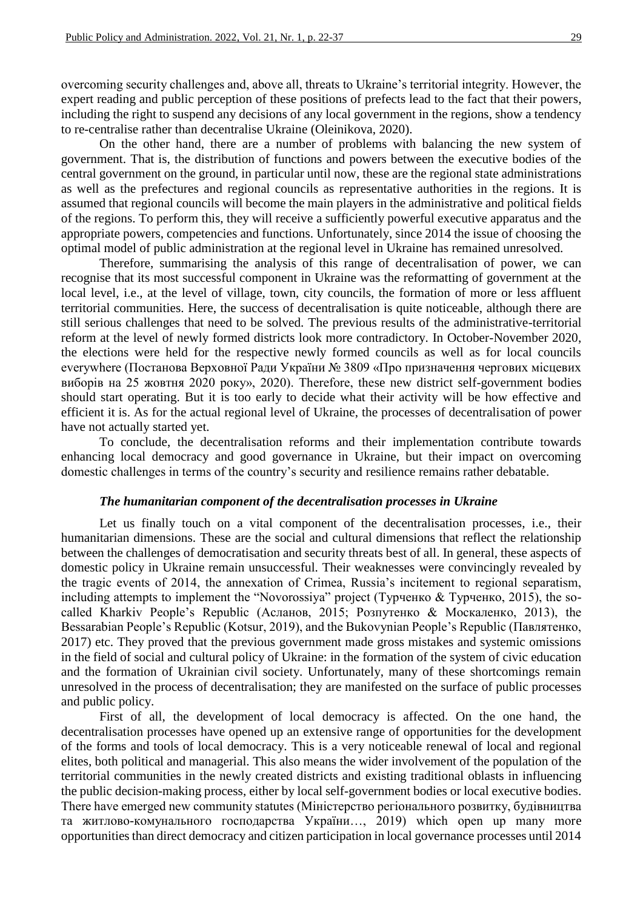overcoming security challenges and, above all, threats to Ukraine's territorial integrity. However, the expert reading and public perception of these positions of prefects lead to the fact that their powers, including the right to suspend any decisions of any local government in the regions, show a tendency to re-centralise rather than decentralise Ukraine (Oleinikova, 2020).

On the other hand, there are a number of problems with balancing the new system of government. That is, the distribution of functions and powers between the executive bodies of the central government on the ground, in particular until now, these are the regional state administrations as well as the prefectures and regional councils as representative authorities in the regions. It is assumed that regional councils will become the main players in the administrative and political fields of the regions. To perform this, they will receive a sufficiently powerful executive apparatus and the appropriate powers, competencies and functions. Unfortunately, since 2014 the issue of choosing the optimal model of public administration at the regional level in Ukraine has remained unresolved.

Therefore, summarising the analysis of this range of decentralisation of power, we can recognise that its most successful component in Ukraine was the reformatting of government at the local level, i.e., at the level of village, town, city councils, the formation of more or less affluent territorial communities. Here, the success of decentralisation is quite noticeable, although there are still serious challenges that need to be solved. The previous results of the administrative-territorial reform at the level of newly formed districts look more contradictory. In October-November 2020, the elections were held for the respective newly formed councils as well as for local councils everywhere (Постанова Верховної Ради України № 3809 «Про призначення чергових місцевих виборів на 25 жовтня 2020 року», 2020). Therefore, these new district self-government bodies should start operating. But it is too early to decide what their activity will be how effective and efficient it is. As for the actual regional level of Ukraine, the processes of decentralisation of power have not actually started yet.

To conclude, the decentralisation reforms and their implementation contribute towards enhancing local democracy and good governance in Ukraine, but their impact on overcoming domestic challenges in terms of the country's security and resilience remains rather debatable.

#### *The humanitarian component of the decentralisation processes in Ukraine*

Let us finally touch on a vital component of the decentralisation processes, i.e., their humanitarian dimensions. These are the social and cultural dimensions that reflect the relationship between the challenges of democratisation and security threats best of all. In general, these aspects of domestic policy in Ukraine remain unsuccessful. Their weaknesses were convincingly revealed by the tragic events of 2014, the annexation of Crimea, Russia's incitement to regional separatism, including attempts to implement the "Novorossiya" project (Турченко & Турченко, 2015), the socalled Kharkiv People's Republic (Асланов, 2015; Розпутенко & Москаленко, 2013), the Bessarabian People's Republic (Kotsur, 2019), and the Bukovynian People's Republic (Павлятенко, 2017) etc. They proved that the previous government made gross mistakes and systemic omissions in the field of social and cultural policy of Ukraine: in the formation of the system of civic education and the formation of Ukrainian civil society. Unfortunately, many of these shortcomings remain unresolved in the process of decentralisation; they are manifested on the surface of public processes and public policy.

First of all, the development of local democracy is affected. On the one hand, the decentralisation processes have opened up an extensive range of opportunities for the development of the forms and tools of local democracy. This is a very noticeable renewal of local and regional elites, both political and managerial. This also means the wider involvement of the population of the territorial communities in the newly created districts and existing traditional oblasts in influencing the public decision-making process, either by local self-government bodies or local executive bodies. There have emerged new community statutes (Міністерство регіонального розвитку, будівництва та житлово-комунального господарства України…, 2019) which open up many more opportunities than direct democracy and citizen participation in local governance processes until 2014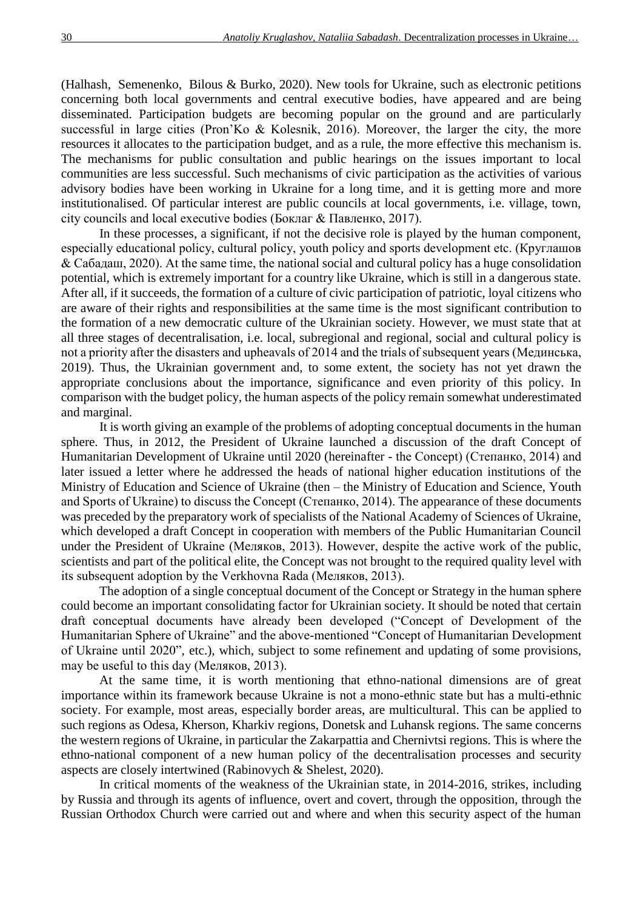(Halhash, Semenenko, Bilous & Burko, 2020). New tools for Ukraine, such as electronic petitions concerning both local governments and central executive bodies, have appeared and are being disseminated. Participation budgets are becoming popular on the ground and are particularly successful in large cities (Pron'Ko & Kolesnik, 2016). Moreover, the larger the city, the more resources it allocates to the participation budget, and as a rule, the more effective this mechanism is. The mechanisms for public consultation and public hearings on the issues important to local communities are less successful. Such mechanisms of civic participation as the activities of various advisory bodies have been working in Ukraine for a long time, and it is getting more and more institutionalised. Of particular interest are public councils at local governments, i.e. village, town, city councils and local executive bodies (Боклаг & Павленко, 2017).

In these processes, a significant, if not the decisive role is played by the human component, especially educational policy, cultural policy, youth policy and sports development etc. (Круглашов & Сабадаш, 2020). At the same time, the national social and cultural policy has a huge consolidation potential, which is extremely important for a country like Ukraine, which is still in a dangerous state. After all, if it succeeds, the formation of a culture of civic participation of patriotic, loyal citizens who are aware of their rights and responsibilities at the same time is the most significant contribution to the formation of a new democratic culture of the Ukrainian society. However, we must state that at all three stages of decentralisation, i.e. local, subregional and regional, social and cultural policy is not a priority after the disasters and upheavals of 2014 and the trials of subsequent years (Мединська, 2019). Thus, the Ukrainian government and, to some extent, the society has not yet drawn the appropriate conclusions about the importance, significance and even priority of this policy. In comparison with the budget policy, the human aspects of the policy remain somewhat underestimated and marginal.

It is worth giving an example of the problems of adopting conceptual documents in the human sphere. Thus, in 2012, the President of Ukraine launched a discussion of the draft Concept of Humanitarian Development of Ukraine until 2020 (hereinafter - the Concept) (Степанко, 2014) and later issued a letter where he addressed the heads of national higher education institutions of the Ministry of Education and Science of Ukraine (then – the Ministry of Education and Science, Youth and Sports of Ukraine) to discuss the Concept (Степанко, 2014). The appearance of these documents was preceded by the preparatory work of specialists of the National Academy of Sciences of Ukraine, which developed a draft Concept in cooperation with members of the Public Humanitarian Council under the President of Ukraine (Меляков, 2013). However, despite the active work of the public, scientists and part of the political elite, the Concept was not brought to the required quality level with its subsequent adoption by the Verkhovna Rada (Меляков, 2013).

The adoption of a single conceptual document of the Concept or Strategy in the human sphere could become an important consolidating factor for Ukrainian society. It should be noted that certain draft conceptual documents have already been developed ("Concept of Development of the Humanitarian Sphere of Ukraine" and the above-mentioned "Concept of Humanitarian Development of Ukraine until 2020", etc.), which, subject to some refinement and updating of some provisions, may be useful to this day (Меляков, 2013).

At the same time, it is worth mentioning that ethno-national dimensions are of great importance within its framework because Ukraine is not a mono-ethnic state but has a multi-ethnic society. For example, most areas, especially border areas, are multicultural. This can be applied to such regions as Odesa, Kherson, Kharkiv regions, Donetsk and Luhansk regions. The same concerns the western regions of Ukraine, in particular the Zakarpattia and Chernivtsi regions. This is where the ethno-national component of a new human policy of the decentralisation processes and security aspects are closely intertwined (Rabinovych & Shelest, 2020).

In critical moments of the weakness of the Ukrainian state, in 2014-2016, strikes, including by Russia and through its agents of influence, overt and covert, through the opposition, through the Russian Orthodox Church were carried out and where and when this security aspect of the human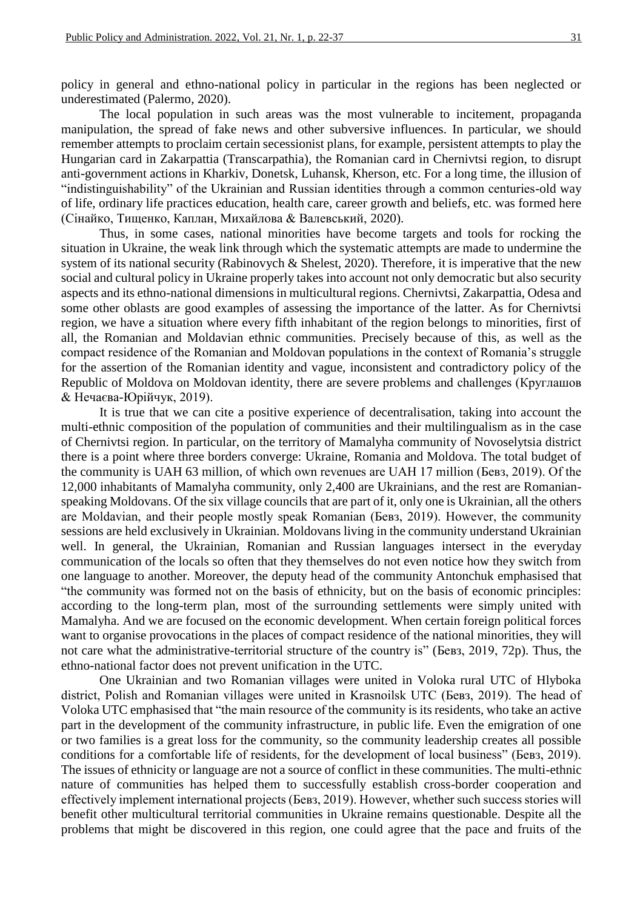policy in general and ethno-national policy in particular in the regions has been neglected or underestimated (Palermo, 2020).

The local population in such areas was the most vulnerable to incitement, propaganda manipulation, the spread of fake news and other subversive influences. In particular, we should remember attempts to proclaim certain secessionist plans, for example, persistent attempts to play the Hungarian card in Zakarpattia (Transcarpathia), the Romanian card in Chernivtsi region, to disrupt anti-government actions in Kharkiv, Donetsk, Luhansk, Kherson, etc. For a long time, the illusion of "indistinguishability" of the Ukrainian and Russian identities through a common centuries-old way of life, ordinary life practices education, health care, career growth and beliefs, etc. was formed here (Сінайко, Тищенко, Каплан, Михайлова & Валевський, 2020).

Thus, in some cases, national minorities have become targets and tools for rocking the situation in Ukraine, the weak link through which the systematic attempts are made to undermine the system of its national security (Rabinovych & Shelest, 2020). Therefore, it is imperative that the new social and cultural policy in Ukraine properly takes into account not only democratic but also security aspects and its ethno-national dimensions in multicultural regions. Chernivtsi, Zakarpattia, Odesa and some other oblasts are good examples of assessing the importance of the latter. As for Chernivtsi region, we have a situation where every fifth inhabitant of the region belongs to minorities, first of all, the Romanian and Moldavian ethnic communities. Precisely because of this, as well as the compact residence of the Romanian and Moldovan populations in the context of Romania's struggle for the assertion of the Romanian identity and vague, inconsistent and contradictory policy of the Republic of Moldova on Moldovan identity, there are severe problems and challenges (Круглашов & Нечаєва-Юрійчук, 2019).

It is true that we can cite a positive experience of decentralisation, taking into account the multi-ethnic composition of the population of communities and their multilingualism as in the case of Chernivtsi region. In particular, on the territory of Mamalyha community of Novoselytsia district there is a point where three borders converge: Ukraine, Romania and Moldova. The total budget of the community is UAH 63 million, of which own revenues are UAH 17 million (Бевз, 2019). Of the 12,000 inhabitants of Mamalyha community, only 2,400 are Ukrainians, and the rest are Romanianspeaking Moldovans. Of the six village councils that are part of it, only one is Ukrainian, all the others are Moldavian, and their people mostly speak Romanian (Бевз, 2019). However, the community sessions are held exclusively in Ukrainian. Moldovans living in the community understand Ukrainian well. In general, the Ukrainian, Romanian and Russian languages intersect in the everyday communication of the locals so often that they themselves do not even notice how they switch from one language to another. Moreover, the deputy head of the community Antonchuk emphasised that "the community was formed not on the basis of ethnicity, but on the basis of economic principles: according to the long-term plan, most of the surrounding settlements were simply united with Mamalyha. And we are focused on the economic development. When certain foreign political forces want to organise provocations in the places of compact residence of the national minorities, they will not care what the administrative-territorial structure of the country is" (Бевз, 2019, 72p). Thus, the ethno-national factor does not prevent unification in the UTC.

One Ukrainian and two Romanian villages were united in Voloka rural UTC of Hlyboka district, Polish and Romanian villages were united in Krasnoilsk UTC (Бевз, 2019). The head of Voloka UTC emphasised that "the main resource of the community is its residents, who take an active part in the development of the community infrastructure, in public life. Even the emigration of one or two families is a great loss for the community, so the community leadership creates all possible conditions for a comfortable life of residents, for the development of local business" (Бевз, 2019). The issues of ethnicity or language are not a source of conflict in these communities. The multi-ethnic nature of communities has helped them to successfully establish cross-border cooperation and effectively implement international projects (Бевз, 2019). However, whether such success stories will benefit other multicultural territorial communities in Ukraine remains questionable. Despite all the problems that might be discovered in this region, one could agree that the pace and fruits of the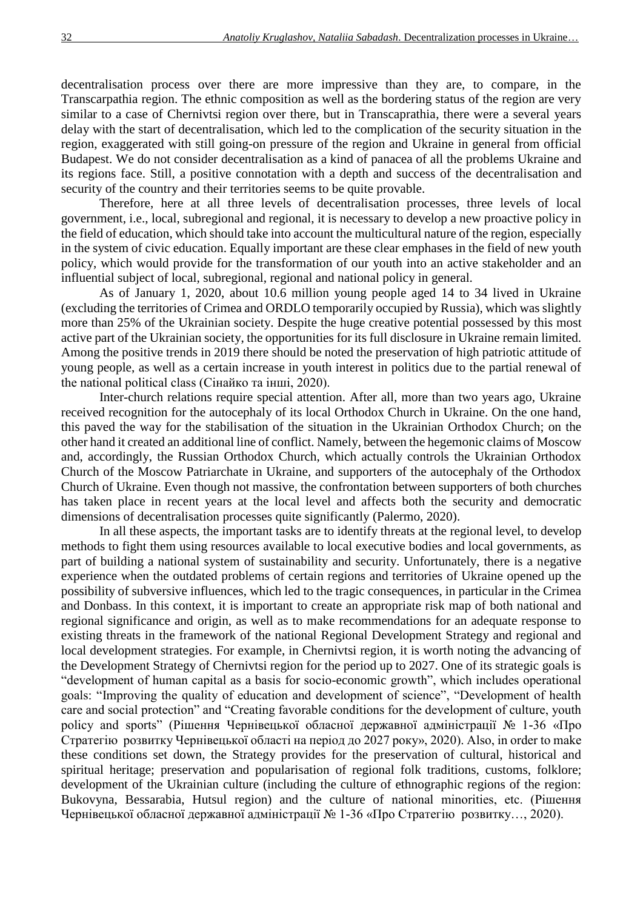decentralisation process over there are more impressive than they are, to compare, in the Transcarpathia region. The ethnic composition as well as the bordering status of the region are very similar to a case of Chernivtsi region over there, but in Transcaprathia, there were a several years delay with the start of decentralisation, which led to the complication of the security situation in the region, exaggerated with still going-on pressure of the region and Ukraine in general from official Budapest. We do not consider decentralisation as a kind of panacea of all the problems Ukraine and its regions face. Still, a positive connotation with a depth and success of the decentralisation and security of the country and their territories seems to be quite provable.

Therefore, here at all three levels of decentralisation processes, three levels of local government, i.e., local, subregional and regional, it is necessary to develop a new proactive policy in the field of education, which should take into account the multicultural nature of the region, especially in the system of civic education. Equally important are these clear emphases in the field of new youth policy, which would provide for the transformation of our youth into an active stakeholder and an influential subject of local, subregional, regional and national policy in general.

As of January 1, 2020, about 10.6 million young people aged 14 to 34 lived in Ukraine (excluding the territories of Crimea and ORDLO temporarily occupied by Russia), which was slightly more than 25% of the Ukrainian society. Despite the huge creative potential possessed by this most active part of the Ukrainian society, the opportunities for its full disclosure in Ukraine remain limited. Among the positive trends in 2019 there should be noted the preservation of high patriotic attitude of young people, as well as a certain increase in youth interest in politics due to the partial renewal of the national political class (Сінайко та інші, 2020).

Inter-church relations require special attention. After all, more than two years ago, Ukraine received recognition for the autocephaly of its local Orthodox Church in Ukraine. On the one hand, this paved the way for the stabilisation of the situation in the Ukrainian Orthodox Church; on the other hand it created an additional line of conflict. Namely, between the hegemonic claims of Moscow and, accordingly, the Russian Orthodox Church, which actually controls the Ukrainian Orthodox Church of the Moscow Patriarchate in Ukraine, and supporters of the autocephaly of the Orthodox Church of Ukraine. Even though not massive, the confrontation between supporters of both churches has taken place in recent years at the local level and affects both the security and democratic dimensions of decentralisation processes quite significantly (Palermo, 2020).

In all these aspects, the important tasks are to identify threats at the regional level, to develop methods to fight them using resources available to local executive bodies and local governments, as part of building a national system of sustainability and security. Unfortunately, there is a negative experience when the outdated problems of certain regions and territories of Ukraine opened up the possibility of subversive influences, which led to the tragic consequences, in particular in the Crimea and Donbass. In this context, it is important to create an appropriate risk map of both national and regional significance and origin, as well as to make recommendations for an adequate response to existing threats in the framework of the national Regional Development Strategy and regional and local development strategies. For example, in Chernivtsi region, it is worth noting the advancing of the Development Strategy of Chernivtsi region for the period up to 2027. One of its strategic goals is "development of human capital as a basis for socio-economic growth", which includes operational goals: "Improving the quality of education and development of science", "Development of health care and social protection" and "Creating favorable conditions for the development of culture, youth policy and sports" (Рішення Чернівецької обласної державної адміністрації № 1-36 «Про Стратегію розвитку Чернівецької області на період до 2027 року», 2020). Also, in order to make these conditions set down, the Strategy provides for the preservation of cultural, historical and spiritual heritage; preservation and popularisation of regional folk traditions, customs, folklore; development of the Ukrainian culture (including the culture of ethnographic regions of the region: Bukovyna, Bessarabia, Hutsul region) and the culture of national minorities, etc. (Рішення Чернівецької обласної державної адміністрації № 1-36 «Про Стратегію розвитку…, 2020).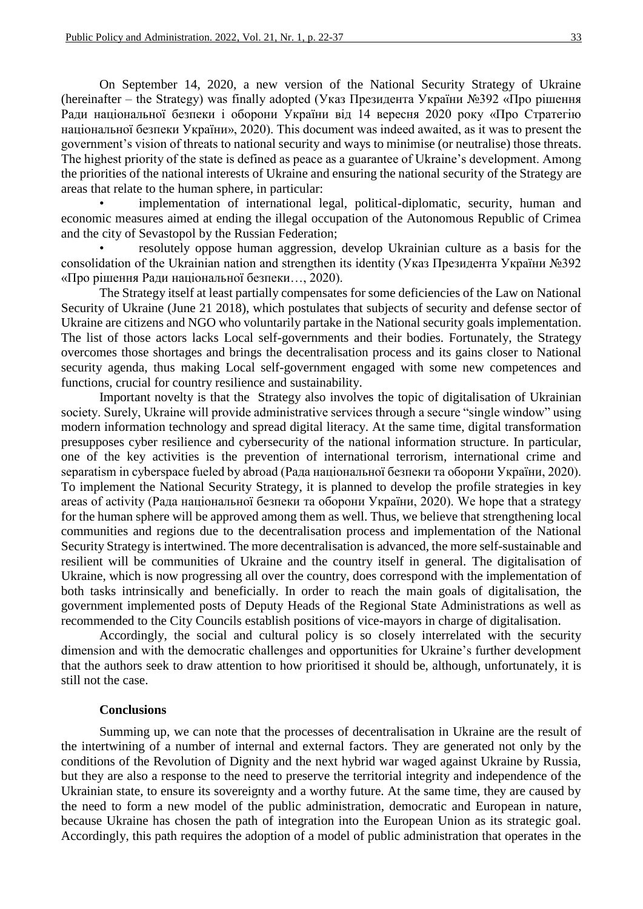On September 14, 2020, a new version of the National Security Strategy of Ukraine (hereinafter – the Strategy) was finally adopted (Указ Президента України №392 «Про рішення Ради національної безпеки і оборони України від 14 вересня 2020 року «Про Стратегію національної безпеки України», 2020). This document was indeed awaited, as it was to present the government's vision of threats to national security and ways to minimise (or neutralise) those threats. The highest priority of the state is defined as peace as a guarantee of Ukraine's development. Among the priorities of the national interests of Ukraine and ensuring the national security of the Strategy are areas that relate to the human sphere, in particular:

implementation of international legal, political-diplomatic, security, human and economic measures aimed at ending the illegal occupation of the Autonomous Republic of Crimea and the city of Sevastopol by the Russian Federation;

• resolutely oppose human aggression, develop Ukrainian culture as a basis for the consolidation of the Ukrainian nation and strengthen its identity (Указ Президента України №392 «Про рішення Ради національної безпеки…, 2020).

The Strategy itself at least partially compensates for some deficiencies of the Law on National Security of Ukraine (June 21 2018), which postulates that subjects of security and defense sector of Ukraine are citizens and NGO who voluntarily partake in the National security goals implementation. The list of those actors lacks Local self-governments and their bodies. Fortunately, the Strategy overcomes those shortages and brings the decentralisation process and its gains closer to National security agenda, thus making Local self-government engaged with some new competences and functions, crucial for country resilience and sustainability.

Important novelty is that the Strategy also involves the topic of digitalisation of Ukrainian society. Surely, Ukraine will provide administrative services through a secure "single window" using modern information technology and spread digital literacy. At the same time, digital transformation presupposes cyber resilience and cybersecurity of the national information structure. In particular, one of the key activities is the prevention of international terrorism, international crime and separatism in cyberspace fueled by abroad (Рада національної безпеки та оборони України, 2020). To implement the National Security Strategy, it is planned to develop the profile strategies in key areas of activity (Рада національної безпеки та оборони України, 2020). We hope that a strategy for the human sphere will be approved among them as well. Thus, we believe that strengthening local communities and regions due to the decentralisation process and implementation of the National Security Strategy is intertwined. The more decentralisation is advanced, the more self-sustainable and resilient will be communities of Ukraine and the country itself in general. The digitalisation of Ukraine, which is now progressing all over the country, does correspond with the implementation of both tasks intrinsically and beneficially. In order to reach the main goals of digitalisation, the government implemented posts of Deputy Heads of the Regional State Administrations as well as recommended to the City Councils establish positions of vice-mayors in charge of digitalisation.

Accordingly, the social and cultural policy is so closely interrelated with the security dimension and with the democratic challenges and opportunities for Ukraine's further development that the authors seek to draw attention to how prioritised it should be, although, unfortunately, it is still not the case.

#### **Conclusions**

Summing up, we can note that the processes of decentralisation in Ukraine are the result of the intertwining of a number of internal and external factors. They are generated not only by the conditions of the Revolution of Dignity and the next hybrid war waged against Ukraine by Russia, but they are also a response to the need to preserve the territorial integrity and independence of the Ukrainian state, to ensure its sovereignty and a worthy future. At the same time, they are caused by the need to form a new model of the public administration, democratic and European in nature, because Ukraine has chosen the path of integration into the European Union as its strategic goal. Accordingly, this path requires the adoption of a model of public administration that operates in the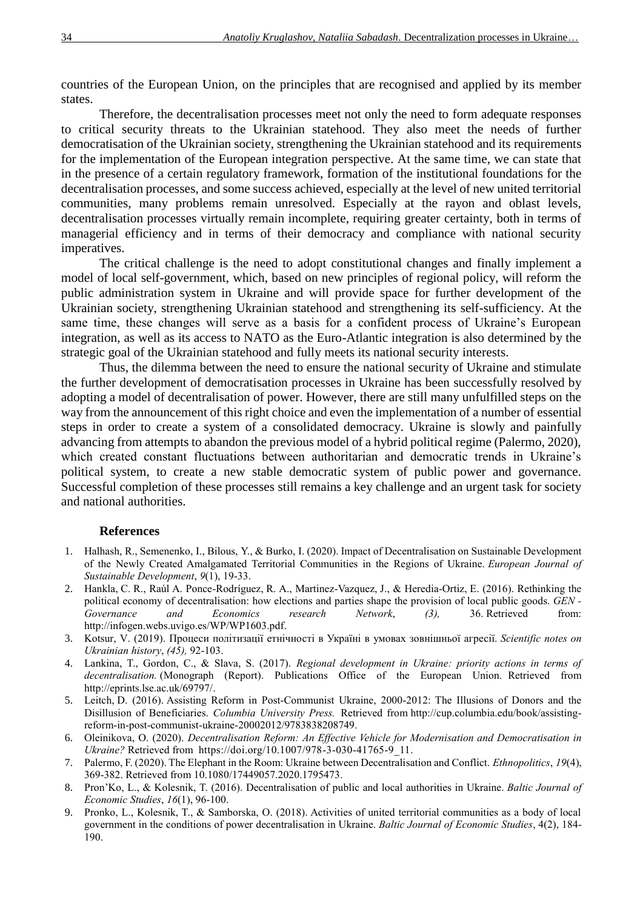countries of the European Union, on the principles that are recognised and applied by its member states.

Therefore, the decentralisation processes meet not only the need to form adequate responses to critical security threats to the Ukrainian statehood. They also meet the needs of further democratisation of the Ukrainian society, strengthening the Ukrainian statehood and its requirements for the implementation of the European integration perspective. At the same time, we can state that in the presence of a certain regulatory framework, formation of the institutional foundations for the decentralisation processes, and some success achieved, especially at the level of new united territorial communities, many problems remain unresolved. Especially at the rayon and oblast levels, decentralisation processes virtually remain incomplete, requiring greater certainty, both in terms of managerial efficiency and in terms of their democracy and compliance with national security imperatives.

The critical challenge is the need to adopt constitutional changes and finally implement a model of local self-government, which, based on new principles of regional policy, will reform the public administration system in Ukraine and will provide space for further development of the Ukrainian society, strengthening Ukrainian statehood and strengthening its self-sufficiency. At the same time, these changes will serve as a basis for a confident process of Ukraine's European integration, as well as its access to NATO as the Euro-Atlantic integration is also determined by the strategic goal of the Ukrainian statehood and fully meets its national security interests.

Thus, the dilemma between the need to ensure the national security of Ukraine and stimulate the further development of democratisation processes in Ukraine has been successfully resolved by adopting a model of decentralisation of power. However, there are still many unfulfilled steps on the way from the announcement of this right choice and even the implementation of a number of essential steps in order to create a system of a consolidated democracy. Ukraine is slowly and painfully advancing from attempts to abandon the previous model of a hybrid political regime (Palermo, 2020), which created constant fluctuations between authoritarian and democratic trends in Ukraine's political system, to create a new stable democratic system of public power and governance. Successful completion of these processes still remains a key challenge and an urgent task for society and national authorities.

# **References**

- 1. Halhash, R., Semenenko, I., Bilous, Y., & Burko, I. (2020). Impact of Decentralisation on Sustainable Development of the Newly Created Amalgamated Territorial Communities in the Regions of Ukraine. *European Journal of Sustainable Development*, *9*(1), 19-33.
- 2. Hankla, C. R., Raúl A. Ponce-Rodríguez, R. A., Martinez-Vazquez, J., & Heredia-Ortiz, E. (2016). Rethinking the political economy of decentralisation: how elections and parties shape the provision of local public goods. *GEN - Governance and Economics research Network*, *(3),* 36. Retrieved from: [http://infogen.webs.uvigo.es/WP/WP1603.pdf.](http://infogen.webs.uvigo.es/WP/WP1603.pdf)
- 3. Kotsur, V. (2019). Процеси політизації етнічності в Україні в умовах зовнішньої агресії. *Scientific notes on Ukrainian history*, *(45),* 92-103.
- 4. Lankina, T., Gordon, C., & Slava, S. (2017). *Regional development in Ukraine: priority actions in terms of decentralisation.* (Monograph (Report). Publications Office of the European Union. Retrieved from [http://eprints.lse.ac.uk/69797/.](http://eprints.lse.ac.uk/69797/)
- 5. Leitch, D. (2016). Assisting Reform in Post-Communist Ukraine, 2000-2012: The Illusions of Donors and the Disillusion of Beneficiaries. *Columbia University Press.* Retrieved from [http://cup.columbia.edu/book/assisting](http://cup.columbia.edu/book/assisting-reform-in-post-communist-ukraine-20002012/9783838208749.)[reform-in-post-communist-ukraine-20002012/9783838208749.](http://cup.columbia.edu/book/assisting-reform-in-post-communist-ukraine-20002012/9783838208749.)
- 6. Oleinikova, O. (2020). *Decentralisation Reform: An Effective Vehicle for Modernisation and Democratisation in Ukraine?* Retrieved from https://doi.org/10.1007/978-3-030-41765-9 11.
- 7. Palermo, F. (2020). The Elephant in the Room: Ukraine between Decentralisation and Conflict. *Ethnopolitics*, *19*(4), 369-382. Retrieved from [10.1080/17449057.2020.1795473.](https://doi.org/10.1080/17449057.2020.1795473)
- 8. Pron'Ko, L., & Kolesnik, T. (2016). Decentralisation of public and local authorities in Ukraine. *Baltic Journal of Economic Studies*, *16*(1), 96-100.
- 9. Pronko, L., Kolesnik, T., & Samborska, O. (2018). Activities of united territorial communities as a body of local government in the conditions of power decentralisation in Ukraine. *Baltic Journal of Economic Studies*, 4(2), 184- 190.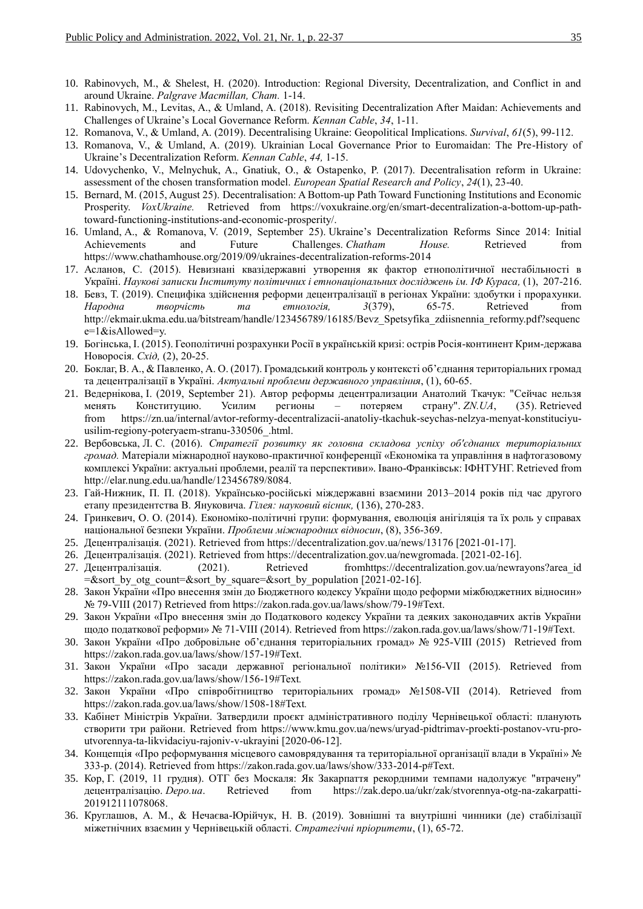- 10. Rabinovych, M., & Shelest, H. (2020). Introduction: Regional Diversity, Decentralization, and Conflict in and around Ukraine. *Palgrave Macmillan, Cham.* 1-14.
- 11. Rabinovych, M., Levitas, A., & Umland, A. (2018). Revisiting Decentralization After Maidan: Achievements and Challenges of Ukraine's Local Governance Reform. *Kennan Cable*, *34*, 1-11.
- 12. Romanova, V., & Umland, A. (2019). Decentralising Ukraine: Geopolitical Implications. *Survival*, *61*(5), 99-112.
- 13. Romanova, V., & Umland, A. (2019). Ukrainian Local Governance Prior to Euromaidan: The Pre-History of Ukraine's Decentralization Reform. *Kennan Cable*, *44,* 1-15.
- 14. Udovychenko, V., Melnychuk, A., Gnatiuk, O., & Ostapenko, P. (2017). Decentralisation reform in Ukraine: assessment of the chosen transformation model. *European Spatial Research and Policy*, *24*(1), 23-40.
- 15. Bernard, M. (2015, August 25). Decentralisation: A Bottom-up Path Toward Functioning Institutions and Economic Prosperity. *VoxUkraine.* Retrieved from [https://voxukraine.org/en/smart-decentralization-a-bottom-up-path](https://voxukraine.org/en/smart-decentralization-a-bottom-up-path-toward-functioning-institutions-and-economic-prosperity/)[toward-functioning-institutions-and-economic-prosperity/.](https://voxukraine.org/en/smart-decentralization-a-bottom-up-path-toward-functioning-institutions-and-economic-prosperity/)
- 16. Umland, А., & Romanova, V. (2019, September 25). Ukraine's Decentralization Reforms Since 2014: Initial Achievements and Future Challenges. *Chatham House.* Retrieved from <https://www.chathamhouse.org/2019/09/ukraines-decentralization-reforms-2014>
- 17. Асланов, С. (2015). Невизнані квазідержавні утворення як фактор етнополітичної нестабільності в Україні. *Наукові записки Інституту політичних і етнонаціональних досліджень ім. ІФ Кураса*, (1), 207-216.
- 18. Бевз, Т. (2019). Специфіка здійснення реформи децентралізації в регіонах України: здобутки і прорахунки. *Народна творчість та етнологія, 3*(379), 65-75. Retrieved from [http://ekmair.ukma.edu.ua/bitstream/handle/123456789/16185/Bevz\\_Spetsyfika\\_zdiisnennia\\_reformy.pdf?sequenc](http://ekmair.ukma.edu.ua/bitstream/handle/123456789/16185/Bevz_Spetsyfika_zdiisnennia_reformy.pdf?sequence=1&isAllowed=y) [e=1&isAllowed=y.](http://ekmair.ukma.edu.ua/bitstream/handle/123456789/16185/Bevz_Spetsyfika_zdiisnennia_reformy.pdf?sequence=1&isAllowed=y)
- 19. Богінська, І. (2015). Геополітичні розрахунки Росії в українській кризі: острів Росія-континент Крим-держава Новоросія. *Схід,* (2), 20-25.
- 20. Боклаг, В. А., & Павленко, А. О. (2017). Громадський контроль у контексті об'єднання територіальних громад та децентралізації в Україні. *Актуальні проблеми державного управління*, (1), 60-65.
- 21. Ведернікова, І. (2019, September 21). Автор реформы децентрализации Анатолий Ткачук: "Сейчас нельзя менять Конституцию. Усилим регионы ‒ потеряем страну". *ZN.UA*, (35). Retrieved from [https://zn.ua/internal/avtor-reformy-decentralizacii-anatoliy-tkachuk-seychas-nelzya-menyat-konstituciyu](https://zn.ua/internal/avtor-reformy-decentralizacii-anatoliy-tkachuk-seychas-nelzya-menyat-konstituciyu-usilim-regiony-poteryaem-stranu-330506_.html)[usilim-regiony-poteryaem-stranu-330506\\_.html.](https://zn.ua/internal/avtor-reformy-decentralizacii-anatoliy-tkachuk-seychas-nelzya-menyat-konstituciyu-usilim-regiony-poteryaem-stranu-330506_.html)
- 22. Вербовська, Л. С. (2016). *Стратегії розвитку як головна складова успіху об'єднаних територіальних громад.* Матеріали міжнародної науково-практичної конференції «Економіка та управління в нафтогазовому комплексі України: актуальні проблеми, реалії та перспективи». Івано-Франківськ: ІФНТУНГ. Retrieved from http://elar.nung.edu.ua/handle/123456789/8084.
- 23. Гай-Нижник, П. П. (2018). Українсько-російські міждержавні взаємини 2013–2014 років під час другого етапу президентства В. Януковича. *Гілея: науковий вісник,* (136), 270-283.
- 24. Гринкевич, О. О. (2014). Економіко-політичні групи: формування, еволюція анігіляція та їх роль у справах національної безпеки України. *Проблеми міжнародних відносин*, (8), 356-369.
- 25. Децентралізація. (2021). Retrieved from <https://decentralization.gov.ua/news/13176> [2021-01-17].
- 26. Децентралізація. (2021). Retrieved from [https://decentralization.gov.ua/newgromada.](https://decentralization.gov.ua/newgromada) [2021-02-16].
- 27. Децентралізація. (2021). Retrieved from the result and rewrayons?area id =&sort by otg count=&sort by square=&sort by population  $[2021-02-16]$ .
- 28. Закон України «Про внесення змін до Бюджетного кодексу України щодо реформи міжбюджетних відносин» № 79-VІІІ (2017) Retrieved from [https://zakon.rada.gov.ua/laws/show/79-19#Text.](https://zakon.rada.gov.ua/laws/show/79-19#Text)
- 29. Закон України «Про внесення змін до Податкового кодексу України та деяких законодавчих актів України щодо податкової реформи» № 71-VІІІ (2014). Retrieved from [https://zakon.rada.gov.ua/laws/show/71-19#Text.](https://zakon.rada.gov.ua/laws/show/71-19#Text)
- 30. Закон України «Про добровільне об'єднання територіальних громад» № 925-VIII (2015) Retrieved from [https://zakon.rada.gov.ua/laws/show/157-19#Text.](https://zakon.rada.gov.ua/laws/show/157-19#Text)
- 31. Закон України «Про засади державної регіональної політики» №156-VII (2015). Retrieved from <https://zakon.rada.gov.ua/laws/show/156-19#Text>*.*
- 32. Закон України «Про співробітництво територіальних громад» №1508-VII (2014). Retrieved from <https://zakon.rada.gov.ua/laws/show/1508-18#Text>*.*
- 33. Кабінет Міністрів України. Затвердили проєкт адміністративного поділу Чернівецької області: планують створити три райони. Retrieved from [https://www.kmu.gov.ua/news/uryad-pidtrimav-proekti-postanov-vru-pro](https://www.kmu.gov.ua/news/uryad-pidtrimav-proekti-postanov-vru-pro-utvorennya-ta-likvidaciyu-rajoniv-v-ukrayini)[utvorennya-ta-likvidaciyu-rajoniv-v-ukrayini](https://www.kmu.gov.ua/news/uryad-pidtrimav-proekti-postanov-vru-pro-utvorennya-ta-likvidaciyu-rajoniv-v-ukrayini) [2020-06-12].
- 34. Концепція «Про реформування місцевого самоврядування та територіальної організації влади в Україні» № 333-р. (2014). Retrieved from [https://zakon.rada.gov.ua/laws/show/333-2014-р#Text.](https://zakon.rada.gov.ua/laws/show/333-2014-р#Text)
- 35. Кор, Г. (2019, 11 грудня). ОТГ без Москаля: Як Закарпаття рекордними темпами надолужує "втрачену" децентралізацію. *Depo.ua*. Retrieved from [https://zak.depo.ua/ukr/zak/stvorennya-otg-na-zakarpatti-](https://zak.depo.ua/ukr/zak/stvorennya-otg-na-zakarpatti-201912111078068)[201912111078068.](https://zak.depo.ua/ukr/zak/stvorennya-otg-na-zakarpatti-201912111078068)
- 36. Круглашов, А. М., & Нечаєва-Юрійчук, Н. В. (2019). Зовнішні та внутрішні чинники (де) стабілізації міжетнічних взаємин у Чернівецькій області. *Стратегічні пріоритети*, (1), 65-72.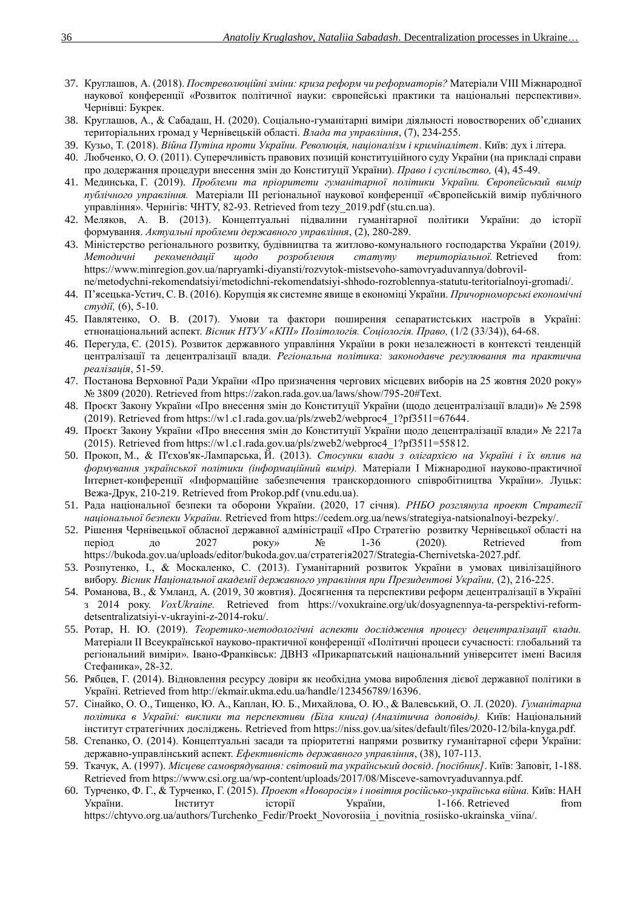- 37. Круглашов, А. (2018). *Постреволюційні зміни: криза реформ чи реформаторів?* Матеріали VIII Міжнародної наукової конференції «Розвиток політичної науки: європейські практики та національні перспективи». Чернівці: Букрек.
- 38. Круглашов, А., & Сабадаш, Н. (2020). Соціально-гуманітарні виміри діяльності новостворених об'єднаних територіальних громад у Чернівецькій області. *Влада та управління*, (7), 234-255.
- 39. Кузьо, Т. (2018). *Війна Путіна проти України. Революція, націоналізм і криміналітет*. Київ: дух і літера.
- 40. Любченко, О. О. (2011). Суперечливість правових позицій конституційного суду України (на прикладі справи про додержання процедури внесення змін до Конституції України). *Право і суспільство,* (4), 45-49.
- 41. Мединська, Г. (2019). *Проблеми та пріоритети гуманітарної політики України. Європейський вимір публічного управління.* Матеріали ІІІ регіональної наукової конференції «Європейській вимір публічного управління». Чернігів: ЧНТУ, 82-93. Retrieved from [tezy\\_2019.pdf \(stu.cn.ua\).](https://pumo.stu.cn.ua/wp-content/uploads/tezy_2019.pdf#page=82)
- 42. Меляков, А. В. (2013). Концептуальні підвалини гуманітарної політики України: до історії формування. *Актуальні проблеми державного управління*, (2), 280-289.
- 43. Міністерство регіонального розвитку, будівництва та житлово-комунального господарства України (2019*). Методичні рекомендації шодо розроблення статуту територіальної.* Retrieved [https://www.minregion.gov.ua/napryamki-diyansti/rozvytok-mistsevoho-samovryaduvannya/dobrovil](https://www.minregion.gov.ua/napryamki-diyansti/rozvytok-mistsevoho-samovryaduvannya/dobrovil-ne/metodychni-rekomendatsiyi/metodichni-rekomendatsiyi-shhodo-rozroblennya-statutu-teritorialnoyi-gromadi/)[ne/metodychni-rekomendatsiyi/metodichni-rekomendatsiyi-shhodo-rozroblennya-statutu-teritorialnoyi-gromadi/.](https://www.minregion.gov.ua/napryamki-diyansti/rozvytok-mistsevoho-samovryaduvannya/dobrovil-ne/metodychni-rekomendatsiyi/metodichni-rekomendatsiyi-shhodo-rozroblennya-statutu-teritorialnoyi-gromadi/)
- 44. П'ясецька-Устич, С. В. (2016). Корупція як системне явище в економіці України. *Причорноморські економічні студії,* (6), 5-10.
- 45. Павлятенко, О. В. (2017). Умови та фактори поширення сепаратистських настроїв в Україні: етнонаціональний аспект. *Вісник НТУУ «КПІ» Політологія. Соціологія. Право,* (1/2 (33/34)), 64-68.
- 46. Перегуда, Є. (2015). Розвиток державного управління України в роки незалежності в контексті тенденцій централізації та децентралізації влади. *Регіональна політика: законодавче регулювання та практична реалізація*, 51-59.
- 47. Постанова Верховної Ради України «Про призначення чергових місцевих виборів на 25 жовтня 2020 року» № 3809 (2020). Retrieved from [https://zakon.rada.gov.ua/laws/show/795-20#Text.](https://zakon.rada.gov.ua/laws/show/795-20#Text)
- 48. Проєкт Закону України «Про внесення змін до Конституції України (щодо децентралізації влади)» № 2598 (2019). Retrieved from [https://w1.c1.rada.gov.ua/pls/zweb2/webproc4\\_1?pf3511=67644.](https://w1.c1.rada.gov.ua/pls/zweb2/webproc4_1?pf3511=67644)
- 49. Проєкт Закону України «Про внесення змін до Конституції України щодо децентралізації влади» № 2217а (2015). Retrieved from [https://w1.c1.rada.gov.ua/pls/zweb2/webproc4\\_1?pf3511=55812.](https://w1.c1.rada.gov.ua/pls/zweb2/webproc4_1?pf3511=55812)
- 50. Прокоп, М., & П'єхов'як-Лампарська, Й. (2013). *Стосунки влади з олігархією на Україні і їх вплив на формування української політики (інформаційний вимір).* Матеріали I Міжнародної науково-практичної Інтернет-конференції «Інформаційне забезпечення транскордонного співробітництва України». Луцьк: Вежа-Друк, 210-219. Retrieved from [Prokop.pdf \(vnu.edu.ua\).](https://evnuir.vnu.edu.ua/bitstream/123456789/2083/1/Prokop.pdf)
- 51. Рада національної безпеки та оборони України. (2020, 17 січня). *РНБО розглянула проект Стратегії національної безпеки України.* Retrieved from [https://cedem.org.ua/news/strategiya-natsionalnoyi-bezpeky/.](https://cedem.org.ua/news/strategiya-natsionalnoyi-bezpeky/)
- 52. Рішення Чернівецької обласної державної адміністрації «Про Стратегію розвитку Чернівецької області на період до 2027 року» № 1-36 (2020)*.* Retrieved from [https://bukoda.gov.ua/uploads/editor/bukoda.gov.ua/стратегія2027/Strategia-Chernivetska-2027.pdf.](https://bukoda.gov.ua/uploads/editor/bukoda.gov.ua/стратегія2027/Strategia-Chernivetska-2027.pdf)
- 53. Розпутенко, І., & Москаленко, С. (2013). Гуманітарний розвиток України в умовах цивілізаційного вибору. *Вісник Національної академії державного управління при Президентові України,* (2), 216-225.
- 54. Романова, В., & Умланд, А. (2019, 30 жовтня). Досягнення та перспективи реформ децентралізації в Україні з 2014 року. *VoxUkraine.* Retrieved from [https://voxukraine.org/uk/dosyagnennya-ta-perspektivi-reform](https://voxukraine.org/uk/dosyagnennya-ta-perspektivi-reform-detsentralizatsiyi-v-ukrayini-z-2014-roku/)[detsentralizatsiyi-v-ukrayini-z-2014-roku/.](https://voxukraine.org/uk/dosyagnennya-ta-perspektivi-reform-detsentralizatsiyi-v-ukrayini-z-2014-roku/)
- 55. Ротар, Н. Ю. (2019). *Теоретико-методологічні аспекти дослідження процесу децентралізації влади.*  Матеріали ІІ Всеукраїнської науково-практичної конференції «Політичні процеси сучасності: глобальний та регіональний виміри». Івано-Франківськ: ДВНЗ «Прикарпатський національний університет імені Василя Стефаника», 28-32.
- 56. Рябцев, Г. (2014). Відновлення ресурсу довіри як необхідна умова вироблення дієвої державної політики в Україні. Retrieved from [http://ekmair.ukma.edu.ua/handle/123456789/16396.](http://ekmair.ukma.edu.ua/handle/123456789/16396)
- 57. Сінайко, О. О., Тищенко, Ю. А., Каплан, Ю. Б., Михайлова, О. Ю., & Валевський, О. Л. (2020). *Гуманітарна політика в Україні: виклики та перспективи (Біла книга) (Аналітична доповідь).* Київ: Національний інститут стратегічних досліджень. Retrieved from [https://niss.gov.ua/sites/default/files/2020-12/bila-knyga.pdf.](https://niss.gov.ua/sites/default/files/2020-12/bila-knyga.pdf)
- 58. Степанко, О. (2014). Концептуальні засади та пріоритетні напрями розвитку гуманітарної сфери України: державно-управлінський аспект. *Ефективність державного управління*, (38), 107-113.
- 59. Ткачук, А. (1997). *Місцеве самоврядування: світовий та український досвід*. *[посібник]*. Київ: Заповіт, 1-188. Retrieved from [https://www.csi.org.ua/wp-content/uploads/2017/08/Misceve-samovryaduvannya.pdf.](https://www.csi.org.ua/wp-content/uploads/2017/08/Misceve-samovryaduvannya.pdf)
- 60. Турченко, Ф. Г., & Турченко, Г. (2015). *Проект «Новоросія» і новітня російсько-українська війна.* Київ: НАН України. Інститут історії України, 1-166. Retrieved from https://chtyvo.org.ua/authors/Turchenko\_Fedir/Proekt\_Novorosiia\_i\_novitnia\_rosiisko-ukrainska\_viina/.